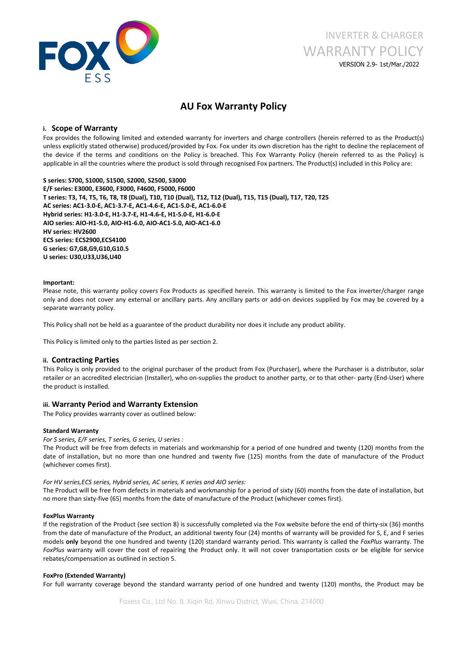

# INVERTER & CHARGER WARRANTY POLICY VERSION 2.9- 1st/Mar./2022

# **AU Fox Warranty Policy**

## **i. Scope of Warranty**

Fox provides the following limited and extended warranty for inverters and charge controllers (herein referred to as the Product(s) unless explicitly stated otherwise) produced/provided by Fox. Fox under its own discretion has the right to decline the replacement of the device if the terms and conditions on the Policy is breached. This Fox Warranty Policy (herein referred to asthe Policy) is applicable in all the countries where the product is sold through recognised Fox partners. The Product(s) included in this Policy are:

**S series: S700, S1000, S1500, S2000, S2500, S3000 E/F series: E3000, E3600, F3000, F4600, F5000, F6000** T series: T3, T4, T5, T6, T8, T8 (Dual), T10, T10 (Dual), T12, T12 (Dual), T15, T15 (Dual), T17, T20, T25 **AC series: AC1-3.0-E, AC1-3.7-E, AC1-4.6-E, AC1-5.0-E, AC1-6.0-E Hybrid series: H1-3.0-E, H1-3.7-E, H1-4.6-E, H1-5.0-E, H1-6.0-E AIO series: AIO-H1-5.0,AIO-H1-6.0, AIO-AC1-5.0, AIO-AC1-6.0 HV series: HV2600 ECS series: ECS2900,ECS4100 G series: G7,G8,G9,G10,G10.5 U series: U30,U33,U36,U40**

#### **Important:**

Please note, this warranty policy covers Fox Products as specified herein. This warranty is limited to the Fox inverter/charger range only and does not cover any external or ancillary parts. Any ancillary parts or add-on devices supplied by Fox may be covered by a separate warranty policy.

This Policy shall not be held as a guarantee of the product durability nor does it include any product ability.

This Policy is limited only to the parties listed as per section 2.

#### **ii. Contracting Parties**

This Policy is only provided to the original purchaser of the product from Fox (Purchaser), where the Purchaser is a distributor, solar retailer or an accredited electrician (Installer), who on-supplies the product to another party, or to that other- party (End-User) where the product is installed.

#### **iii. Warranty Period and Warranty Extension**

The Policy provides warranty cover as outlined below:

#### **Standard Warranty**

*For S series, E/F series, T series, G series, U series :*

The Product will be free from defects in materials and workmanship for a period of one hundred and twenty (120) months from the date of installation, but no more than one hundred and twenty five (125) months from the date of manufacture of the Product (whichever comes first).

#### *For HV series,ECS series, Hybrid series, AC series, K series and AIO series:*

The Product will be free from defects in materials and workmanship for a period of sixty (60) months from the date of installation, but no more than sixty-five (65) months from the date of manufacture of the Product (whichever comes first).

#### **FoxPlus Warranty**

If the registration of the Product (see section 8) is successfully completed via the Fox website before the end of thirty-six (36) months from the date of manufacture of the Product, an additional twenty four(24) months of warranty will be provided for S, E, and F series models **only** beyond the one hundred and twenty (120) standard warranty period. This warranty is called the *FoxPlus* warranty. The *FoxPlus* warranty will cover the cost of repairing the Product only. It will not cover transportation costs or be eligible for service rebates/compensation as outlined in section 5.

#### **FoxPro (Extended Warranty)**

For full warranty coverage beyond the standard warranty period of one hundred and twenty (120) months, the Product may be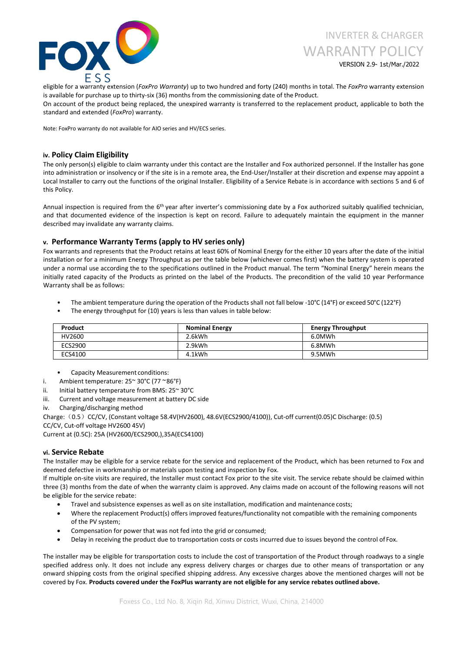

# VERSION 2.9- 1st/Mar./2022

eligible for a warranty extension (*FoxPro Warranty*) up to two hundred and forty (240) months in total. The *FoxPro* warranty extension is available for purchase up to thirty-six (36) months from the commissioning date of the Product.

On account of the product being replaced, the unexpired warranty is transferred to the replacement product, applicable to both the standard and extended (*FoxPro*) warranty.

Note: FoxPro warranty do not available for AIO series and HV/ECS series.

#### **iv. Policy Claim Eligibility**

The only person(s) eligible to claim warranty under this contact are the Installer and Fox authorized personnel. If the Installer has gone into administration or insolvency or if the site is in a remote area, the End-User/Installer at their discretion and expense may appoint a Local Installer to carry out the functions of the original Installer. Eligibility of a Service Rebate is in accordance with sections 5 and 6 of this Policy.

Annual inspection is required from the 6<sup>th</sup> year after inverter's commissioning date by a Fox authorized suitably qualified technician, and that documented evidence of the inspection is kept on record. Failure to adequately maintain the equipment in the manner described may invalidate any warranty claims.

## **v. Performance Warranty Terms (apply to HV series only)**

Fox warrants and represents that the Product retains atleast 60% of Nominal Energy for the either 10 years after the date of the initial installation or for a minimum Energy Throughput as per the table below (whichever comes first) when the battery system is operated under a normal use according the to the specifications outlined in the Product manual. The term "Nominal Energy" herein means the initially rated capacity of the Products as printed on the label of the Products. The precondition of the valid 10 year Performance Warranty shall be as follows:

- The ambient temperature during the operation of the Products shall not fall below -10°C (14°F) or exceed 50°C (122°F)
- The energy throughput for (10) years is less than values in table below:

| Product | <b>Nominal Energy</b> | <b>Energy Throughput</b> |
|---------|-----------------------|--------------------------|
| HV2600  | 2.6kWh                | 6.0MWh                   |
| ECS2900 | 2.9kWh                | 6.8MWh                   |
| ECS4100 | 4.1kWh                | 9.5MWh                   |

- Capacity Measurement conditions:
- i. Ambient temperature: 25~ 30°C (77 ~86°F)
- ii. Initial battery temperature from BMS: 25~30°C
- iii. Current and voltage measurement at battery DC side
- iv. Charging/discharging method

Charge: (0.5) CC/CV, (Constant voltage 58.4V(HV2600), 48.6V(ECS2900/4100)), Cut-off current(0.05)C Discharge: (0.5) CC/CV, Cut-off voltage HV2600 45V)

Current at (0.5C): 25A (HV2600/ECS2900,),35A(ECS4100)

## **vi. Service Rebate**

The Installer may be eligible for a service rebate for the service and replacement of the Product, which has been returned to Fox and deemed defective in workmanship or materials upon testing and inspection by Fox.

If multiple on-site visits are required, the Installer must contact Fox prior to the site visit. The service rebate should be claimed within three (3) months from the date of when the warranty claim is approved. Any claims made on account of the following reasons will not be eligible for the service rebate:

- Travel and subsistence expenses as well as on site installation, modification and maintenance costs;
- Where the replacement Product(s) offers improved features/functionality not compatible with the remaining components of the PV system;
- Compensation for power that was not fed into the grid or consumed;
- Delay in receiving the product due to transportation costs or costs incurred due to issues beyond the control of Fox.

The installer may be eligible for transportation costs to include the cost of transportation of the Product through roadways to a single specified address only. It does not include any express delivery charges or charges due to other means of transportation or any onward shipping costs from the original specified shipping address. Any excessive charges above the mentioned charges will not be covered by Fox. **Products covered under the FoxPlus warranty are not eligible for any service rebates outlined above.**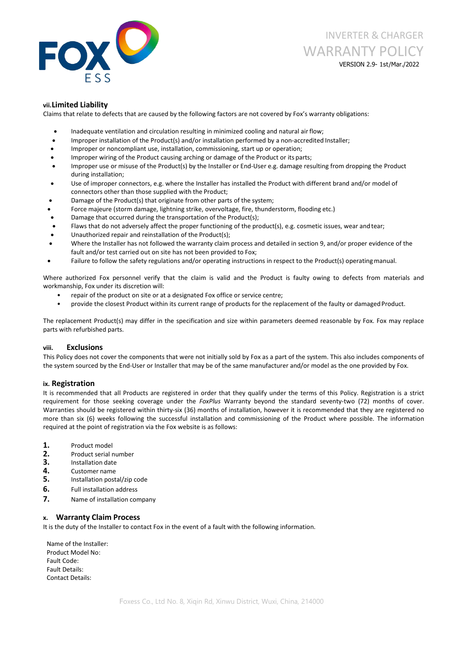

VERSION 2.9- 1st/Mar./2022

#### **vii.Limited Liability**

Claims that relate to defects that are caused by the following factors are not covered by Fox's warranty obligations:

- Inadequate ventilation and circulation resulting in minimized cooling and natural airflow;
- Improper installation of the Product(s) and/or installation performed by a non-accredited Installer;
- Improper or noncompliant use, installation, commissioning, start up or operation;
- Improper wiring of the Product causing arching or damage of the Product or its parts;
- Improper use or misuse of the Product(s) by the Installer or End-User e.g. damage resulting from dropping the Product during installation;
- Use of improper connectors, e.g. where the Installer has installed the Product with different brand and/or model of connectors other than those supplied with the Product;
- Damage of the Product(s) that originate from other parts of the system;
- Force majeure (storm damage, lightning strike, overvoltage, fire, thunderstorm, flooding etc.)
- Damage that occurred during the transportation of the Product(s);
- Flaws that do not adversely affect the proper functioning of the product(s), e.g. cosmetic issues, wear and tear;
- Unauthorized repair and reinstallation of the Product(s);
- Where the Installer has not followed the warranty claim process and detailed in section 9, and/or proper evidence of the fault and/or test carried out on site has not been provided to Fox;
- Failure to follow the safety regulations and/or operating instructions in respect to the Product(s) operating manual.

Where authorized Fox personnel verify that the claim is valid and the Product is faulty owing to defects from materials and workmanship, Fox under its discretion will:

- repair of the product on site or at a designated Fox office or service centre;
- provide the closest Product within its current range of products for the replacement of the faulty or damaged Product.

The replacement Product(s) may differ in the specification and size within parameters deemed reasonable by Fox. Fox may replace parts with refurbished parts.

#### **viii. Exclusions**

This Policy does not cover the components that were not initially sold by Fox as a part of the system. This also includes components of the system sourced by the End-User or Installer that may be of the same manufacturer and/or model as the one provided by Fox.

#### **ix. Registration**

It is recommended that all Products are registered in order that they qualify under the terms of this Policy. Registration is a strict requirement for those seeking coverage under the *FoxPlus* Warranty beyond the standard seventy-two (72) months of cover. Warranties should be registered within thirty-six (36) months of installation, however it is recommended that they are registered no more than six (6) weeks following the successful installation and commissioning of the Product where possible. The information required at the point of registration via the Fox website is as follows:

- **1.** Product model
- 
- 
- 
- **2.** Product serial number<br>**3.** Installation date<br>**4.** Customer name<br>**5.** Installation postal/zip code
- **6.** Full installation address
- **7.** Name of installation company

# **x. Warranty Claim Process**

It is the duty of the Installer to contact Fox in the event of a fault with the following information.

Name of the Installer: Product Model No: Fault Code: Fault Details: Contact Details: